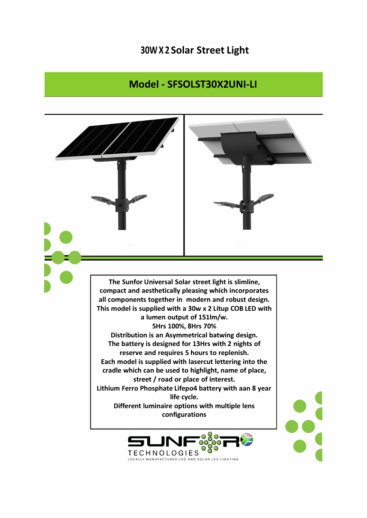## 30W X 2 Solar Street Light

## Model - SFSOLST30X2UNI-LI